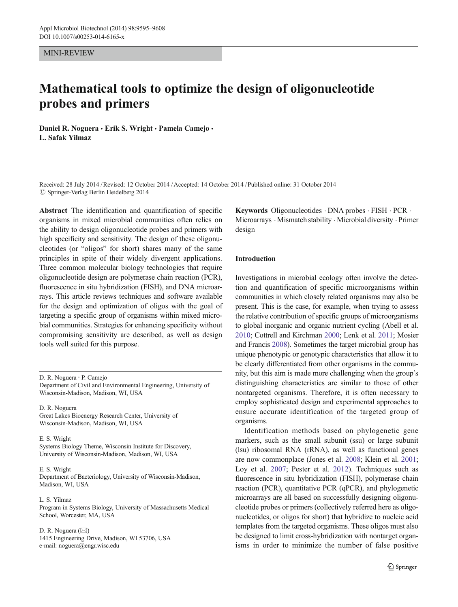#### MINI-REVIEW

# Mathematical tools to optimize the design of oligonucleotide probes and primers

Daniel R. Noguera · Erik S. Wright · Pamela Camejo · L. Safak Yilmaz

Received: 28 July 2014 /Revised: 12 October 2014 /Accepted: 14 October 2014 / Published online: 31 October 2014  $\oslash$  Springer-Verlag Berlin Heidelberg 2014

Abstract The identification and quantification of specific organisms in mixed microbial communities often relies on the ability to design oligonucleotide probes and primers with high specificity and sensitivity. The design of these oligonucleotides (or "oligos" for short) shares many of the same principles in spite of their widely divergent applications. Three common molecular biology technologies that require oligonucleotide design are polymerase chain reaction (PCR), fluorescence in situ hybridization (FISH), and DNA microarrays. This article reviews techniques and software available for the design and optimization of oligos with the goal of targeting a specific group of organisms within mixed microbial communities. Strategies for enhancing specificity without compromising sensitivity are described, as well as design tools well suited for this purpose.

D. R. Noguera : P. Camejo Department of Civil and Environmental Engineering, University of Wisconsin-Madison, Madison, WI, USA

D. R. Noguera Great Lakes Bioenergy Research Center, University of Wisconsin-Madison, Madison, WI, USA

E. S. Wright Systems Biology Theme, Wisconsin Institute for Discovery, University of Wisconsin-Madison, Madison, WI, USA

#### E. S. Wright

Department of Bacteriology, University of Wisconsin-Madison, Madison, WI, USA

L. S. Yilmaz Program in Systems Biology, University of Massachusetts Medical School, Worcester, MA, USA

D. R. Noguera  $(\boxtimes)$ 1415 Engineering Drive, Madison, WI 53706, USA e-mail: noguera@engr.wisc.edu

Keywords Oligonucleotides . DNA probes . FISH . PCR . Microarrays . Mismatch stability . Microbial diversity . Primer design

## Introduction

Investigations in microbial ecology often involve the detection and quantification of specific microorganisms within communities in which closely related organisms may also be present. This is the case, for example, when trying to assess the relative contribution of specific groups of microorganisms to global inorganic and organic nutrient cycling (Abell et al. [2010;](#page-10-0) Cottrell and Kirchman [2000;](#page-10-0) Lenk et al. [2011](#page-11-0); Mosier and Francis [2008](#page-12-0)). Sometimes the target microbial group has unique phenotypic or genotypic characteristics that allow it to be clearly differentiated from other organisms in the community, but this aim is made more challenging when the group's distinguishing characteristics are similar to those of other nontargeted organisms. Therefore, it is often necessary to employ sophisticated design and experimental approaches to ensure accurate identification of the targeted group of organisms.

Identification methods based on phylogenetic gene markers, such as the small subunit (ssu) or large subunit (lsu) ribosomal RNA (rRNA), as well as functional genes are now commonplace (Jones et al. [2008;](#page-11-0) Klein et al. [2001;](#page-11-0) Loy et al. [2007](#page-11-0); Pester et al. [2012](#page-12-0)). Techniques such as fluorescence in situ hybridization (FISH), polymerase chain reaction (PCR), quantitative PCR (qPCR), and phylogenetic microarrays are all based on successfully designing oligonucleotide probes or primers (collectively referred here as oligonucleotides, or oligos for short) that hybridize to nucleic acid templates from the targeted organisms. These oligos must also be designed to limit cross-hybridization with nontarget organisms in order to minimize the number of false positive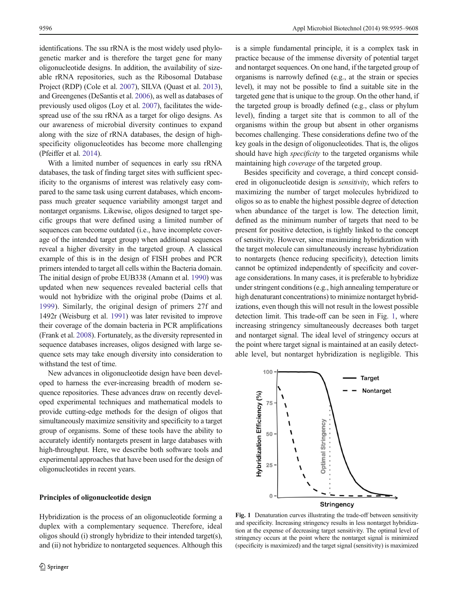<span id="page-1-0"></span>identifications. The ssu rRNA is the most widely used phylogenetic marker and is therefore the target gene for many oligonucleotide designs. In addition, the availability of sizeable rRNA repositories, such as the Ribosomal Database Project (RDP) (Cole et al. [2007](#page-10-0)), SILVA (Quast et al. [2013\)](#page-12-0), and Greengenes (DeSantis et al. [2006](#page-10-0)), as well as databases of previously used oligos (Loy et al. [2007](#page-11-0)), facilitates the widespread use of the ssu rRNA as a target for oligo designs. As our awareness of microbial diversity continues to expand along with the size of rRNA databases, the design of highspecificity oligonucleotides has become more challenging (Pfeiffer et al. [2014\)](#page-12-0).

With a limited number of sequences in early ssu rRNA databases, the task of finding target sites with sufficient specificity to the organisms of interest was relatively easy compared to the same task using current databases, which encompass much greater sequence variability amongst target and nontarget organisms. Likewise, oligos designed to target specific groups that were defined using a limited number of sequences can become outdated (i.e., have incomplete coverage of the intended target group) when additional sequences reveal a higher diversity in the targeted group. A classical example of this is in the design of FISH probes and PCR primers intended to target all cells within the Bacteria domain. The initial design of probe EUB338 (Amann et al. [1990](#page-10-0)) was updated when new sequences revealed bacterial cells that would not hybridize with the original probe (Daims et al. [1999](#page-10-0)). Similarly, the original design of primers 27f and 1492r (Weisburg et al. [1991\)](#page-13-0) was later revisited to improve their coverage of the domain bacteria in PCR amplifications (Frank et al. [2008\)](#page-11-0). Fortunately, as the diversity represented in sequence databases increases, oligos designed with large sequence sets may take enough diversity into consideration to withstand the test of time.

New advances in oligonucleotide design have been developed to harness the ever-increasing breadth of modern sequence repositories. These advances draw on recently developed experimental techniques and mathematical models to provide cutting-edge methods for the design of oligos that simultaneously maximize sensitivity and specificity to a target group of organisms. Some of these tools have the ability to accurately identify nontargets present in large databases with high-throughput. Here, we describe both software tools and experimental approaches that have been used for the design of oligonucleotides in recent years.

## Principles of oligonucleotide design

Hybridization is the process of an oligonucleotide forming a duplex with a complementary sequence. Therefore, ideal oligos should (i) strongly hybridize to their intended target(s), and (ii) not hybridize to nontargeted sequences. Although this

is a simple fundamental principle, it is a complex task in practice because of the immense diversity of potential target and nontarget sequences. On one hand, if the targeted group of organisms is narrowly defined (e.g., at the strain or species level), it may not be possible to find a suitable site in the targeted gene that is unique to the group. On the other hand, if the targeted group is broadly defined (e.g., class or phylum level), finding a target site that is common to all of the organisms within the group but absent in other organisms becomes challenging. These considerations define two of the key goals in the design of oligonucleotides. That is, the oligos should have high *specificity* to the targeted organisms while maintaining high coverage of the targeted group.

Besides specificity and coverage, a third concept considered in oligonucleotide design is sensitivity, which refers to maximizing the number of target molecules hybridized to oligos so as to enable the highest possible degree of detection when abundance of the target is low. The detection limit, defined as the minimum number of targets that need to be present for positive detection, is tightly linked to the concept of sensitivity. However, since maximizing hybridization with the target molecule can simultaneously increase hybridization to nontargets (hence reducing specificity), detection limits cannot be optimized independently of specificity and coverage considerations. In many cases, it is preferable to hybridize under stringent conditions (e.g., high annealing temperature or high denaturant concentrations) to minimize nontarget hybridizations, even though this will not result in the lowest possible detection limit. This trade-off can be seen in Fig. 1, where increasing stringency simultaneously decreases both target and nontarget signal. The ideal level of stringency occurs at the point where target signal is maintained at an easily detectable level, but nontarget hybridization is negligible. This



Fig. 1 Denaturation curves illustrating the trade-off between sensitivity and specificity. Increasing stringency results in less nontarget hybridization at the expense of decreasing target sensitivity. The optimal level of stringency occurs at the point where the nontarget signal is minimized (specificity is maximized) and the target signal (sensitivity) is maximized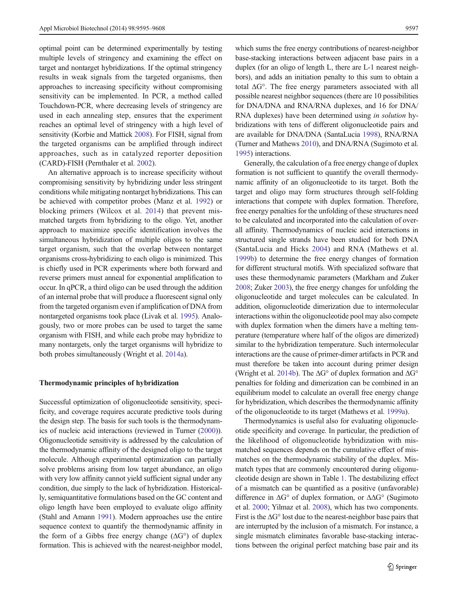optimal point can be determined experimentally by testing multiple levels of stringency and examining the effect on target and nontarget hybridizations. If the optimal stringency results in weak signals from the targeted organisms, then approaches to increasing specificity without compromising sensitivity can be implemented. In PCR, a method called Touchdown-PCR, where decreasing levels of stringency are used in each annealing step, ensures that the experiment reaches an optimal level of stringency with a high level of sensitivity (Korbie and Mattick [2008\)](#page-11-0). For FISH, signal from the targeted organisms can be amplified through indirect approaches, such as in catalyzed reporter deposition (CARD)-FISH (Pernthaler et al. [2002\)](#page-12-0).

An alternative approach is to increase specificity without compromising sensitivity by hybridizing under less stringent conditions while mitigating nontarget hybridizations. This can be achieved with competitor probes (Manz et al. [1992\)](#page-11-0) or blocking primers (Wilcox et al. [2014](#page-13-0)) that prevent mismatched targets from hybridizing to the oligo. Yet, another approach to maximize specific identification involves the simultaneous hybridization of multiple oligos to the same target organism, such that the overlap between nontarget organisms cross-hybridizing to each oligo is minimized. This is chiefly used in PCR experiments where both forward and reverse primers must anneal for exponential amplification to occur. In qPCR, a third oligo can be used through the addition of an internal probe that will produce a fluorescent signal only from the targeted organism even if amplification of DNA from nontargeted organisms took place (Livak et al. [1995\)](#page-11-0). Analogously, two or more probes can be used to target the same organism with FISH, and while each probe may hybridize to many nontargets, only the target organisms will hybridize to both probes simultaneously (Wright et al. [2014a\)](#page-13-0).

#### Thermodynamic principles of hybridization

Successful optimization of oligonucleotide sensitivity, specificity, and coverage requires accurate predictive tools during the design step. The basis for such tools is the thermodynamics of nucleic acid interactions (reviewed in Turner ([2000](#page-12-0))). Oligonucleotide sensitivity is addressed by the calculation of the thermodynamic affinity of the designed oligo to the target molecule. Although experimental optimization can partially solve problems arising from low target abundance, an oligo with very low affinity cannot yield sufficient signal under any condition, due simply to the lack of hybridization. Historically, semiquantitative formulations based on the GC content and oligo length have been employed to evaluate oligo affinity (Stahl and Amann [1991](#page-12-0)). Modern approaches use the entire sequence context to quantify the thermodynamic affinity in the form of a Gibbs free energy change  $(\Delta G^{\circ})$  of duplex formation. This is achieved with the nearest-neighbor model,

which sums the free energy contributions of nearest-neighbor base-stacking interactions between adjacent base pairs in a duplex (for an oligo of length L, there are L-1 nearest neighbors), and adds an initiation penalty to this sum to obtain a total ΔG°. The free energy parameters associated with all possible nearest neighbor sequences (there are 10 possibilities for DNA/DNA and RNA/RNA duplexes, and 16 for DNA/ RNA duplexes) have been determined using in solution hybridizations with tens of different oligonucleotide pairs and are available for DNA/DNA (SantaLucia [1998](#page-12-0)), RNA/RNA (Turner and Mathews [2010](#page-12-0)), and DNA/RNA (Sugimoto et al. [1995\)](#page-12-0) interactions.

Generally, the calculation of a free energy change of duplex formation is not sufficient to quantify the overall thermodynamic affinity of an oligonucleotide to its target. Both the target and oligo may form structures through self-folding interactions that compete with duplex formation. Therefore, free energy penalties for the unfolding of these structures need to be calculated and incorporated into the calculation of overall affinity. Thermodynamics of nucleic acid interactions in structured single strands have been studied for both DNA (SantaLucia and Hicks [2004](#page-12-0)) and RNA (Mathews et al. [1999b\)](#page-11-0) to determine the free energy changes of formation for different structural motifs. With specialized software that uses these thermodynamic parameters (Markham and Zuker [2008;](#page-11-0) Zuker [2003](#page-13-0)), the free energy changes for unfolding the oligonucleotide and target molecules can be calculated. In addition, oligonucleotide dimerization due to intermolecular interactions within the oligonucleotide pool may also compete with duplex formation when the dimers have a melting temperature (temperature where half of the oligos are dimerized) similar to the hybridization temperature. Such intermolecular interactions are the cause of primer-dimer artifacts in PCR and must therefore be taken into account during primer design (Wright et al. [2014b\)](#page-13-0). The ΔG° of duplex formation and ΔG° penalties for folding and dimerization can be combined in an equilibrium model to calculate an overall free energy change for hybridization, which describes the thermodynamic affinity of the oligonucleotide to its target (Mathews et al. [1999a\)](#page-11-0).

Thermodynamics is useful also for evaluating oligonucleotide specificity and coverage. In particular, the prediction of the likelihood of oligonucleotide hybridization with mismatched sequences depends on the cumulative effect of mismatches on the thermodynamic stability of the duplex. Mismatch types that are commonly encountered during oligonucleotide design are shown in Table [1](#page-3-0). The destabilizing effect of a mismatch can be quantified as a positive (unfavorable) difference in ΔG° of duplex formation, or ΔΔG° (Sugimoto et al. [2000;](#page-12-0) Yilmaz et al. [2008](#page-13-0)), which has two components. First is the  $\Delta G^{\circ}$  lost due to the nearest-neighbor base pairs that are interrupted by the inclusion of a mismatch. For instance, a single mismatch eliminates favorable base-stacking interactions between the original perfect matching base pair and its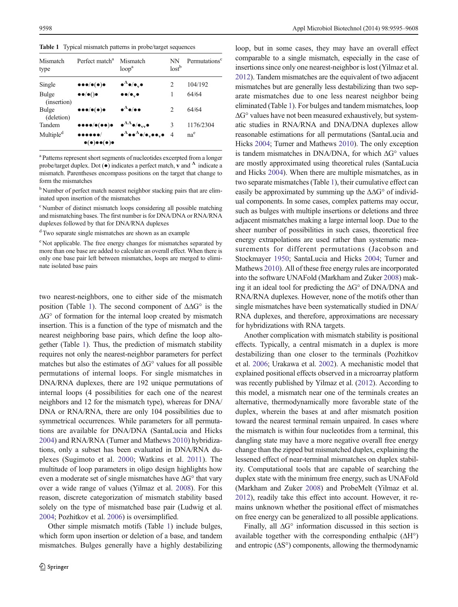<span id="page-3-0"></span>Table 1 Typical mismatch patterns in probe/target sequences

| Mismatch<br>type      | Perfect match <sup>a</sup>                                                                        | Mismatch<br>loop <sup>a</sup>                                                                          | NΝ<br>lost <sup>b</sup> | Permutations <sup>c</sup> |
|-----------------------|---------------------------------------------------------------------------------------------------|--------------------------------------------------------------------------------------------------------|-------------------------|---------------------------|
| Single                | $\bullet \bullet \bullet/\bullet(\bullet)\bullet$                                                 | $\bullet^\Lambda\bullet/\bullet_\mathrm{v}\bullet$                                                     | $\mathcal{L}$           | 104/192                   |
| Bulge<br>(insertion)  | $\bullet\bullet/\bullet() \bullet$                                                                | $\bullet\bullet/\bullet$ , $\bullet$                                                                   | 1                       | 64/64                     |
| Bulge<br>(deletion)   | $\bullet \bullet \bullet/\bullet(\bullet)\bullet$                                                 | $\bullet^\Lambda\bullet/\bullet\bullet$                                                                | 2                       | 64/64                     |
| Tandem                | $\bullet\bullet\bullet\bullet/\bullet(\bullet\bullet)\bullet$                                     | $\bullet^{\Lambda\Lambda}\bullet/\bullet_{vv}\bullet$                                                  | 3                       | 1176/2304                 |
| Multiple <sup>d</sup> | $\bullet\bullet\bullet\bullet\bullet\bullet/$<br>$\bullet(\bullet)\bullet\bullet(\bullet)\bullet$ | $\bullet^{\Lambda}\bullet\bullet^{\Lambda}\bullet/\bullet_{\rm v}\bullet\bullet_{\rm v}\bullet\quad 4$ |                         | na <sup>e</sup>           |

<sup>a</sup> Patterns represent short segments of nucleotides excerpted from a longer probe/target duplex. Dot ( $\bullet$ ) indicates a perfect match, v and  $\Lambda$  indicate a mismatch. Parentheses encompass positions on the target that change to form the mismatches

<sup>b</sup> Number of perfect match nearest neighbor stacking pairs that are eliminated upon insertion of the mismatches

<sup>c</sup> Number of distinct mismatch loops considering all possible matching and mismatching bases. The first number is for DNA/DNA or RNA/RNA duplexes followed by that for DNA/RNA duplexes

<sup>d</sup> Two separate single mismatches are shown as an example

<sup>e</sup> Not applicable. The free energy changes for mismatches separated by more than one base are added to calculate an overall effect. When there is only one base pair left between mismatches, loops are merged to eliminate isolated base pairs

two nearest-neighbors, one to either side of the mismatch position (Table 1). The second component of  $\Delta\Delta G^{\circ}$  is the ΔG° of formation for the internal loop created by mismatch insertion. This is a function of the type of mismatch and the nearest neighboring base pairs, which define the loop altogether (Table 1). Thus, the prediction of mismatch stability requires not only the nearest-neighbor parameters for perfect matches but also the estimates of  $\Delta G^{\circ}$  values for all possible permutations of internal loops. For single mismatches in DNA/RNA duplexes, there are 192 unique permutations of internal loops (4 possibilities for each one of the nearest neighbors and 12 for the mismatch type), whereas for DNA/ DNA or RNA/RNA, there are only 104 possibilities due to symmetrical occurrences. While parameters for all permutations are available for DNA/DNA (SantaLucia and Hicks [2004\)](#page-12-0) and RNA/RNA (Turner and Mathews [2010](#page-12-0)) hybridizations, only a subset has been evaluated in DNA/RNA duplexes (Sugimoto et al. [2000;](#page-12-0) Watkins et al. [2011](#page-13-0)). The multitude of loop parameters in oligo design highlights how even a moderate set of single mismatches have  $\Delta G^{\circ}$  that vary over a wide range of values (Yilmaz et al. [2008](#page-13-0)). For this reason, discrete categorization of mismatch stability based solely on the type of mismatched base pair (Ludwig et al. [2004;](#page-11-0) Pozhitkov et al. [2006](#page-12-0)) is oversimplified.

Other simple mismatch motifs (Table 1) include bulges, which form upon insertion or deletion of a base, and tandem mismatches. Bulges generally have a highly destabilizing

loop, but in some cases, they may have an overall effect comparable to a single mismatch, especially in the case of insertions since only one nearest-neighbor is lost (Yilmaz et al. [2012\)](#page-13-0). Tandem mismatches are the equivalent of two adjacent mismatches but are generally less destabilizing than two separate mismatches due to one less nearest neighbor being eliminated (Table 1). For bulges and tandem mismatches, loop  $\Delta G^{\circ}$  values have not been measured exhaustively, but systematic studies in RNA/RNA and DNA/DNA duplexes allow reasonable estimations for all permutations (SantaLucia and Hicks [2004](#page-12-0); Turner and Mathews [2010](#page-12-0)). The only exception is tandem mismatches in DNA/DNA, for which ΔG° values are mostly approximated using theoretical rules (SantaLucia and Hicks [2004](#page-12-0)). When there are multiple mismatches, as in two separate mismatches (Table 1), their cumulative effect can easily be approximated by summing up the  $\Delta\Delta G^{\circ}$  of individual components. In some cases, complex patterns may occur, such as bulges with multiple insertions or deletions and three adjacent mismatches making a large internal loop. Due to the sheer number of possibilities in such cases, theoretical free energy extrapolations are used rather than systematic measurements for different permutations (Jacobson and Stockmayer [1950;](#page-11-0) SantaLucia and Hicks [2004;](#page-12-0) Turner and Mathews [2010](#page-12-0)). All of these free energy rules are incorporated into the software UNAFold (Markham and Zuker [2008\)](#page-11-0) making it an ideal tool for predicting the ΔG° of DNA/DNA and RNA/RNA duplexes. However, none of the motifs other than single mismatches have been systematically studied in DNA/ RNA duplexes, and therefore, approximations are necessary for hybridizations with RNA targets.

Another complication with mismatch stability is positional effects. Typically, a central mismatch in a duplex is more destabilizing than one closer to the terminals (Pozhitkov et al. [2006](#page-12-0); Urakawa et al. [2002](#page-12-0)). A mechanistic model that explained positional effects observed in a microarray platform was recently published by Yilmaz et al. [\(2012\)](#page-13-0). According to this model, a mismatch near one of the terminals creates an alternative, thermodynamically more favorable state of the duplex, wherein the bases at and after mismatch position toward the nearest terminal remain unpaired. In cases where the mismatch is within four nucleotides from a terminal, this dangling state may have a more negative overall free energy change than the zipped but mismatched duplex, explaining the lessened effect of near-terminal mismatches on duplex stability. Computational tools that are capable of searching the duplex state with the minimum free energy, such as UNAFold (Markham and Zuker [2008](#page-11-0)) and ProbeMelt (Yilmaz et al. [2012\)](#page-13-0), readily take this effect into account. However, it remains unknown whether the positional effect of mismatches on free energy can be generalized to all possible applications.

Finally, all ΔG° information discussed in this section is available together with the corresponding enthalpic  $(\Delta H^{\circ})$ and entropic  $(\Delta S^{\circ})$  components, allowing the thermodynamic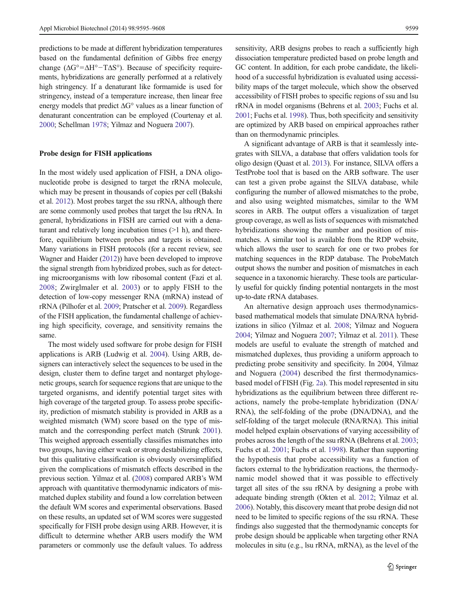predictions to be made at different hybridization temperatures based on the fundamental definition of Gibbs free energy change  $(\Delta G^{\circ} = \Delta H^{\circ} - T\Delta S^{\circ})$ . Because of specificity requirements, hybridizations are generally performed at a relatively high stringency. If a denaturant like formamide is used for stringency, instead of a temperature increase, then linear free energy models that predict ΔG° values as a linear function of denaturant concentration can be employed (Courtenay et al. [2000;](#page-10-0) Schellman [1978;](#page-12-0) Yilmaz and Noguera [2007](#page-13-0)).

## Probe design for FISH applications

In the most widely used application of FISH, a DNA oligonucleotide probe is designed to target the rRNA molecule, which may be present in thousands of copies per cell (Bakshi et al. [2012\)](#page-10-0). Most probes target the ssu rRNA, although there are some commonly used probes that target the lsu rRNA. In general, hybridizations in FISH are carried out with a denaturant and relatively long incubation times (>1 h), and therefore, equilibrium between probes and targets is obtained. Many variations in FISH protocols (for a recent review, see Wagner and Haider ([2012](#page-12-0))) have been developed to improve the signal strength from hybridized probes, such as for detecting microorganisms with low ribosomal content (Fazi et al. [2008](#page-10-0); Zwirglmaler et al. [2003\)](#page-13-0) or to apply FISH to the detection of low-copy messenger RNA (mRNA) instead of rRNA (Pilhofer et al. [2009;](#page-12-0) Pratscher et al. [2009\)](#page-12-0). Regardless of the FISH application, the fundamental challenge of achieving high specificity, coverage, and sensitivity remains the same.

The most widely used software for probe design for FISH applications is ARB (Ludwig et al. [2004\)](#page-11-0). Using ARB, designers can interactively select the sequences to be used in the design, cluster them to define target and nontarget phylogenetic groups, search for sequence regions that are unique to the targeted organisms, and identify potential target sites with high coverage of the targeted group. To assess probe specificity, prediction of mismatch stability is provided in ARB as a weighted mismatch (WM) score based on the type of mismatch and the corresponding perfect match (Strunk [2001\)](#page-12-0). This weighed approach essentially classifies mismatches into two groups, having either weak or strong destabilizing effects, but this qualitative classification is obviously oversimplified given the complications of mismatch effects described in the previous section. Yilmaz et al. [\(2008\)](#page-13-0) compared ARB's WM approach with quantitative thermodynamic indicators of mismatched duplex stability and found a low correlation between the default WM scores and experimental observations. Based on these results, an updated set of WM scores were suggested specifically for FISH probe design using ARB. However, it is difficult to determine whether ARB users modify the WM parameters or commonly use the default values. To address sensitivity, ARB designs probes to reach a sufficiently high dissociation temperature predicted based on probe length and GC content. In addition, for each probe candidate, the likelihood of a successful hybridization is evaluated using accessibility maps of the target molecule, which show the observed accessibility of FISH probes to specific regions of ssu and lsu rRNA in model organisms (Behrens et al. [2003](#page-10-0); Fuchs et al. [2001;](#page-11-0) Fuchs et al. [1998\)](#page-11-0). Thus, both specificity and sensitivity are optimized by ARB based on empirical approaches rather than on thermodynamic principles.

A significant advantage of ARB is that it seamlessly integrates with SILVA, a database that offers validation tools for oligo design (Quast et al. [2013\)](#page-12-0). For instance, SILVA offers a TestProbe tool that is based on the ARB software. The user can test a given probe against the SILVA database, while configuring the number of allowed mismatches to the probe, and also using weighted mismatches, similar to the WM scores in ARB. The output offers a visualization of target group coverage, as well as lists of sequences with mismatched hybridizations showing the number and position of mismatches. A similar tool is available from the RDP website, which allows the user to search for one or two probes for matching sequences in the RDP database. The ProbeMatch output shows the number and position of mismatches in each sequence in a taxonomic hierarchy. These tools are particularly useful for quickly finding potential nontargets in the most up-to-date rRNA databases.

An alternative design approach uses thermodynamicsbased mathematical models that simulate DNA/RNA hybridizations in silico (Yilmaz et al. [2008](#page-13-0); Yilmaz and Noguera [2004;](#page-13-0) Yilmaz and Noguera [2007;](#page-13-0) Yilmaz et al. [2011\)](#page-13-0). These models are useful to evaluate the strength of matched and mismatched duplexes, thus providing a uniform approach to predicting probe sensitivity and specificity. In 2004, Yilmaz and Noguera [\(2004](#page-13-0)) described the first thermodynamicsbased model of FISH (Fig. [2a](#page-5-0)). This model represented in situ hybridizations as the equilibrium between three different reactions, namely the probe-template hybridization (DNA/ RNA), the self-folding of the probe (DNA/DNA), and the self-folding of the target molecule (RNA/RNA). This initial model helped explain observations of varying accessibility of probes across the length of the ssu rRNA (Behrens et al. [2003;](#page-10-0) Fuchs et al. [2001;](#page-11-0) Fuchs et al. [1998](#page-11-0)). Rather than supporting the hypothesis that probe accessibility was a function of factors external to the hybridization reactions, the thermodynamic model showed that it was possible to effectively target all sites of the ssu rRNA by designing a probe with adequate binding strength (Okten et al. [2012](#page-12-0); Yilmaz et al. [2006\)](#page-13-0). Notably, this discovery meant that probe design did not need to be limited to specific regions of the ssu rRNA. These findings also suggested that the thermodynamic concepts for probe design should be applicable when targeting other RNA molecules in situ (e.g., lsu rRNA, mRNA), as the level of the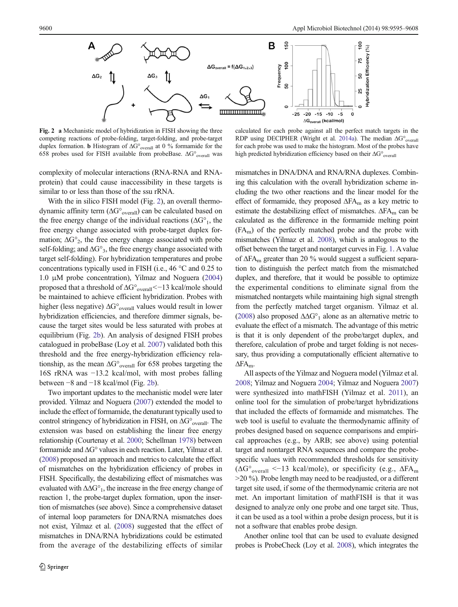<span id="page-5-0"></span>

Fig. 2 a Mechanistic model of hybridization in FISH showing the three competing reactions of probe-folding, target-folding, and probe-target duplex formation. b Histogram of ΔG°overall at 0 % formamide for the 658 probes used for FISH available from probeBase. ΔG°overall was

complexity of molecular interactions (RNA-RNA and RNAprotein) that could cause inaccessibility in these targets is similar to or less than those of the ssu rRNA.

With the in silico FISH model (Fig. 2), an overall thermodynamic affinity term  $(\Delta G^{\circ}_{\text{overall}})$  can be calculated based on the free energy change of the individual reactions ( $\Delta G^{\circ}$ <sub>1</sub>, the free energy change associated with probe-target duplex formation;  $\Delta G^{\circ}_{2}$ , the free energy change associated with probe self-folding; and  $\Delta G^{\circ}$ <sub>3</sub>, the free energy change associated with target self-folding). For hybridization temperatures and probe concentrations typically used in FISH (i.e., 46 °C and 0.25 to 1.0 μM probe concentration), Yilmaz and Noguera [\(2004\)](#page-13-0) proposed that a threshold of ΔG°<sub>overall</sub><−13 kcal/mole should be maintained to achieve efficient hybridization. Probes with higher (less negative)  $\Delta G^{\circ}$ <sub>overall</sub> values would result in lower hybridization efficiencies, and therefore dimmer signals, because the target sites would be less saturated with probes at equilibrium (Fig. 2b). An analysis of designed FISH probes catalogued in probeBase (Loy et al. [2007\)](#page-11-0) validated both this threshold and the free energy-hybridization efficiency relationship, as the mean  $\Delta G^{\circ}$ <sub>overall</sub> for 658 probes targeting the 16S rRNA was −13.2 kcal/mol, with most probes falling between −8 and −18 kcal/mol (Fig. 2b).

Two important updates to the mechanistic model were later provided. Yilmaz and Noguera [\(2007](#page-13-0)) extended the model to include the effect of formamide, the denaturant typically used to control stringency of hybridization in FISH, on  $\Delta G^{\circ}$ <sub>overall</sub>. The extension was based on establishing the linear free energy relationship (Courtenay et al. [2000](#page-10-0); Schellman [1978](#page-12-0)) between formamide and ΔG° values in each reaction. Later, Yilmaz et al. [\(2008](#page-13-0)) proposed an approach and metrics to calculate the effect of mismatches on the hybridization efficiency of probes in FISH. Specifically, the destabilizing effect of mismatches was evaluated with  $\Delta\Delta G^{\circ}$ <sub>1</sub>, the increase in the free energy change of reaction 1, the probe-target duplex formation, upon the insertion of mismatches (see above). Since a comprehensive dataset of internal loop parameters for DNA/RNA mismatches does not exist, Yilmaz et al. ([2008](#page-13-0)) suggested that the effect of mismatches in DNA/RNA hybridizations could be estimated from the average of the destabilizing effects of similar

calculated for each probe against all the perfect match targets in the RDP using DECIPHER (Wright et al. [2014a\)](#page-13-0). The median ΔG°<sub>overall</sub> for each probe was used to make the histogram. Most of the probes have high predicted hybridization efficiency based on their ΔG°overall

mismatches in DNA/DNA and RNA/RNA duplexes. Combining this calculation with the overall hybridization scheme including the two other reactions and the linear model for the effect of formamide, they proposed  $\Delta FA_m$  as a key metric to estimate the destabilizing effect of mismatches.  $\Delta F A_m$  can be calculated as the difference in the formamide melting point  $(FA<sub>m</sub>)$  of the perfectly matched probe and the probe with mismatches (Yilmaz et al. [2008](#page-13-0)), which is analogous to the offset between the target and nontarget curves in Fig. [1.](#page-1-0) A value of  $\Delta$ FA<sub>m</sub> greater than 20 % would suggest a sufficient separation to distinguish the perfect match from the mismatched duplex, and therefore, that it would be possible to optimize the experimental conditions to eliminate signal from the mismatched nontargets while maintaining high signal strength from the perfectly matched target organism. Yilmaz et al. [\(2008](#page-13-0)) also proposed  $\Delta\Delta G^{\circ}$ <sub>1</sub> alone as an alternative metric to evaluate the effect of a mismatch. The advantage of this metric is that it is only dependent of the probe/target duplex, and therefore, calculation of probe and target folding is not necessary, thus providing a computationally efficient alternative to ΔFAm.

All aspects of the Yilmaz and Noguera model (Yilmaz et al. [2008;](#page-13-0) Yilmaz and Noguera [2004](#page-13-0); Yilmaz and Noguera [2007](#page-13-0)) were synthesized into mathFISH (Yilmaz et al. [2011\)](#page-13-0), an online tool for the simulation of probe/target hybridizations that included the effects of formamide and mismatches. The web tool is useful to evaluate the thermodynamic affinity of probes designed based on sequence comparisons and empirical approaches (e.g., by ARB; see above) using potential target and nontarget RNA sequences and compare the probespecific values with recommended thresholds for sensitivity  $(\Delta G^{\circ}_{\text{overall}} \le -13 \text{ kcal/mole})$ , or specificity (e.g.,  $\Delta FA_{\text{m}}$ ) >20 %). Probe length may need to be readjusted, or a different target site used, if some of the thermodynamic criteria are not met. An important limitation of mathFISH is that it was designed to analyze only one probe and one target site. Thus, it can be used as a tool within a probe design process, but it is not a software that enables probe design.

Another online tool that can be used to evaluate designed probes is ProbeCheck (Loy et al. [2008\)](#page-11-0), which integrates the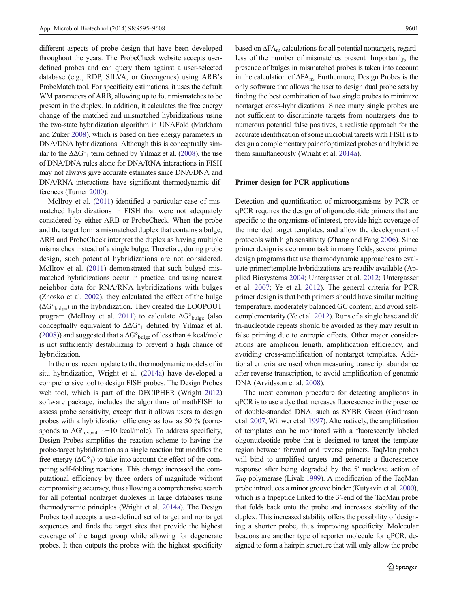different aspects of probe design that have been developed throughout the years. The ProbeCheck website accepts userdefined probes and can query them against a user-selected database (e.g., RDP, SILVA, or Greengenes) using ARB's ProbeMatch tool. For specificity estimations, it uses the default WM parameters of ARB, allowing up to four mismatches to be present in the duplex. In addition, it calculates the free energy change of the matched and mismatched hybridizations using the two-state hybridization algorithm in UNAFold (Markham and Zuker [2008](#page-11-0)), which is based on free energy parameters in DNA/DNA hybridizations. Although this is conceptually similar to the  $\Delta\Delta G^{\circ}$ <sub>1</sub> term defined by Yilmaz et al. [\(2008](#page-13-0)), the use of DNA/DNA rules alone for DNA/RNA interactions in FISH may not always give accurate estimates since DNA/DNA and DNA/RNA interactions have significant thermodynamic differences (Turner [2000](#page-12-0)).

McIlroy et al. ([2011\)](#page-11-0) identified a particular case of mismatched hybridizations in FISH that were not adequately considered by either ARB or ProbeCheck. When the probe and the target form a mismatched duplex that contains a bulge, ARB and ProbeCheck interpret the duplex as having multiple mismatches instead of a single bulge. Therefore, during probe design, such potential hybridizations are not considered. McIlroy et al. [\(2011](#page-11-0)) demonstrated that such bulged mismatched hybridizations occur in practice, and using nearest neighbor data for RNA/RNA hybridizations with bulges (Znosko et al. [2002](#page-13-0)), they calculated the effect of the bulge  $(\Delta G^{\circ}_{bulge})$  in the hybridization. They created the LOOPOUT program (McIlroy et al. [2011](#page-11-0)) to calculate  $\Delta G^{\circ}$ <sub>bulge</sub> (also conceptually equivalent to ΔΔG°1 defined by Yilmaz et al. [\(2008\)](#page-13-0)) and suggested that a  $\Delta G^{\circ}$ <sub>bulge</sub> of less than 4 kcal/mole</sub> is not sufficiently destabilizing to prevent a high chance of hybridization.

In the most recent update to the thermodynamic models of in situ hybridization, Wright et al. ([2014a\)](#page-13-0) have developed a comprehensive tool to design FISH probes. The Design Probes web tool, which is part of the DECIPHER (Wright [2012\)](#page-13-0) software package, includes the algorithms of mathFISH to assess probe sensitivity, except that it allows users to design probes with a hybridization efficiency as low as 50 % (corresponds to  $\Delta G^{\circ}$ <sub>overall</sub> ~−10 kcal/mole). To address specificity, Design Probes simplifies the reaction scheme to having the probe-target hybridization as a single reaction but modifies the free energy  $(\Delta G^{\circ}_1)$  to take into account the effect of the competing self-folding reactions. This change increased the computational efficiency by three orders of magnitude without compromising accuracy, thus allowing a comprehensive search for all potential nontarget duplexes in large databases using thermodynamic principles (Wright et al. [2014a\)](#page-13-0). The Design Probes tool accepts a user-defined set of target and nontarget sequences and finds the target sites that provide the highest coverage of the target group while allowing for degenerate probes. It then outputs the probes with the highest specificity

based on  $\Delta FA_m$  calculations for all potential nontargets, regardless of the number of mismatches present. Importantly, the presence of bulges in mismatched probes is taken into account in the calculation of  $\Delta$ FA<sub>m</sub>. Furthermore, Design Probes is the only software that allows the user to design dual probe sets by finding the best combination of two single probes to minimize nontarget cross-hybridizations. Since many single probes are not sufficient to discriminate targets from nontargets due to numerous potential false positives, a realistic approach for the accurate identification of some microbial targets with FISH is to design a complementary pair of optimized probes and hybridize them simultaneously (Wright et al. [2014a](#page-13-0)).

### Primer design for PCR applications

Detection and quantification of microorganisms by PCR or qPCR requires the design of oligonucleotide primers that are specific to the organisms of interest, provide high coverage of the intended target templates, and allow the development of protocols with high sensitivity (Zhang and Fang [2006\)](#page-13-0). Since primer design is a common task in many fields, several primer design programs that use thermodynamic approaches to evaluate primer/template hybridizations are readily available (Applied Biosystems [2004;](#page-10-0) Untergasser et al. [2012;](#page-12-0) Untergasser et al. [2007;](#page-12-0) Ye et al. [2012\)](#page-13-0). The general criteria for PCR primer design is that both primers should have similar melting temperature, moderately balanced GC content, and avoid selfcomplementarity (Ye et al. [2012](#page-13-0)). Runs of a single base and di/ tri-nucleotide repeats should be avoided as they may result in false priming due to entropic effects. Other major considerations are amplicon length, amplification efficiency, and avoiding cross-amplification of nontarget templates. Additional criteria are used when measuring transcript abundance after reverse transcription, to avoid amplification of genomic DNA (Arvidsson et al. [2008\)](#page-10-0).

The most common procedure for detecting amplicons in qPCR is to use a dye that increases fluorescence in the presence of double-stranded DNA, such as SYBR Green (Gudnason et al. [2007;](#page-11-0) Wittwer et al. [1997](#page-13-0)). Alternatively, the amplification of templates can be monitored with a fluorescently labeled oligonucleotide probe that is designed to target the template region between forward and reverse primers. TaqMan probes will bind to amplified targets and generate a fluorescence response after being degraded by the 5′ nuclease action of Taq polymerase (Livak [1999](#page-11-0)). A modification of the TaqMan probe introduces a minor groove binder (Kutyavin et al. [2000\)](#page-11-0), which is a tripeptide linked to the 3′-end of the TaqMan probe that folds back onto the probe and increases stability of the duplex. This increased stability offers the possibility of designing a shorter probe, thus improving specificity. Molecular beacons are another type of reporter molecule for qPCR, designed to form a hairpin structure that will only allow the probe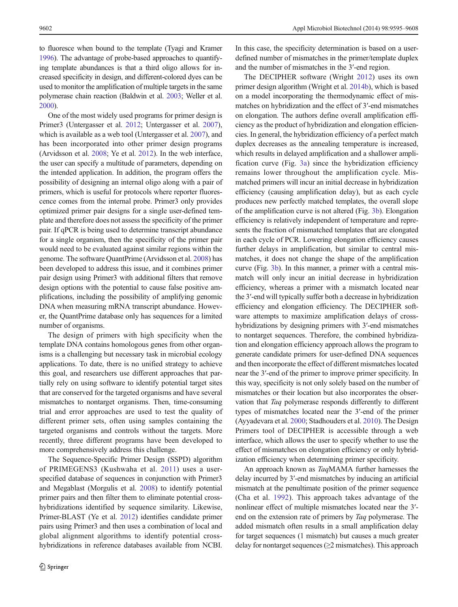to fluoresce when bound to the template (Tyagi and Kramer [1996](#page-12-0)). The advantage of probe-based approaches to quantifying template abundances is that a third oligo allows for increased specificity in design, and different-colored dyes can be used to monitor the amplification of multiple targets in the same polymerase chain reaction (Baldwin et al. [2003;](#page-10-0) Weller et al. [2000](#page-13-0)).

One of the most widely used programs for primer design is Primer3 (Untergasser et al. [2012](#page-12-0); Untergasser et al. [2007\)](#page-12-0), which is available as a web tool (Untergasser et al. [2007](#page-12-0)), and has been incorporated into other primer design programs (Arvidsson et al. [2008;](#page-10-0) Ye et al. [2012\)](#page-13-0). In the web interface, the user can specify a multitude of parameters, depending on the intended application. In addition, the program offers the possibility of designing an internal oligo along with a pair of primers, which is useful for protocols where reporter fluorescence comes from the internal probe. Primer3 only provides optimized primer pair designs for a single user-defined template and therefore does not assess the specificity of the primer pair. If qPCR is being used to determine transcript abundance for a single organism, then the specificity of the primer pair would need to be evaluated against similar regions within the genome. The software QuantPrime (Arvidsson et al. [2008](#page-10-0)) has been developed to address this issue, and it combines primer pair design using Primer3 with additional filters that remove design options with the potential to cause false positive amplifications, including the possibility of amplifying genomic DNA when measuring mRNA transcript abundance. However, the QuantPrime database only has sequences for a limited number of organisms.

The design of primers with high specificity when the template DNA contains homologous genes from other organisms is a challenging but necessary task in microbial ecology applications. To date, there is no unified strategy to achieve this goal, and researchers use different approaches that partially rely on using software to identify potential target sites that are conserved for the targeted organisms and have several mismatches to nontarget organisms. Then, time-consuming trial and error approaches are used to test the quality of different primer sets, often using samples containing the targeted organisms and controls without the targets. More recently, three different programs have been developed to more comprehensively address this challenge.

The Sequence-Specific Primer Design (SSPD) algorithm of PRIMEGENS3 (Kushwaha et al. [2011\)](#page-11-0) uses a userspecified database of sequences in conjunction with Primer3 and Megablast (Morgulis et al. [2008\)](#page-12-0) to identify potential primer pairs and then filter them to eliminate potential crosshybridizations identified by sequence similarity. Likewise, Primer-BLAST (Ye et al. [2012\)](#page-13-0) identifies candidate primer pairs using Primer3 and then uses a combination of local and global alignment algorithms to identify potential crosshybridizations in reference databases available from NCBI.

In this case, the specificity determination is based on a userdefined number of mismatches in the primer/template duplex and the number of mismatches in the 3′-end region.

The DECIPHER software (Wright [2012](#page-13-0)) uses its own primer design algorithm (Wright et al. [2014b](#page-13-0)), which is based on a model incorporating the thermodynamic effect of mismatches on hybridization and the effect of 3′-end mismatches on elongation. The authors define overall amplification efficiency as the product of hybridization and elongation efficiencies. In general, the hybridization efficiency of a perfect match duplex decreases as the annealing temperature is increased, which results in delayed amplification and a shallower amplification curve (Fig. [3a](#page-8-0)) since the hybridization efficiency remains lower throughout the amplification cycle. Mismatched primers will incur an initial decrease in hybridization efficiency (causing amplification delay), but as each cycle produces new perfectly matched templates, the overall slope of the amplification curve is not altered (Fig. [3b](#page-8-0)). Elongation efficiency is relatively independent of temperature and represents the fraction of mismatched templates that are elongated in each cycle of PCR. Lowering elongation efficiency causes further delays in amplification, but similar to central mismatches, it does not change the shape of the amplification curve (Fig. [3b](#page-8-0)). In this manner, a primer with a central mismatch will only incur an initial decrease in hybridization efficiency, whereas a primer with a mismatch located near the 3′-end will typically suffer both a decrease in hybridization efficiency and elongation efficiency. The DECIPHER software attempts to maximize amplification delays of crosshybridizations by designing primers with 3'-end mismatches to nontarget sequences. Therefore, the combined hybridization and elongation efficiency approach allows the program to generate candidate primers for user-defined DNA sequences and then incorporate the effect of different mismatches located near the 3′-end of the primer to improve primer specificity. In this way, specificity is not only solely based on the number of mismatches or their location but also incorporates the observation that Taq polymerase responds differently to different types of mismatches located near the 3′-end of the primer (Ayyadevara et al. [2000](#page-10-0); Stadhouders et al. [2010\)](#page-12-0). The Design Primers tool of DECIPHER is accessible through a web interface, which allows the user to specify whether to use the effect of mismatches on elongation efficiency or only hybridization efficiency when determining primer specificity.

An approach known as TaqMAMA further harnesses the delay incurred by 3′-end mismatches by inducing an artificial mismatch at the penultimate position of the primer sequence (Cha et al. [1992\)](#page-10-0). This approach takes advantage of the nonlinear effect of multiple mismatches located near the 3′ end on the extension rate of primers by Taq polymerase. The added mismatch often results in a small amplification delay for target sequences (1 mismatch) but causes a much greater delay for nontarget sequences  $(\geq 2$  mismatches). This approach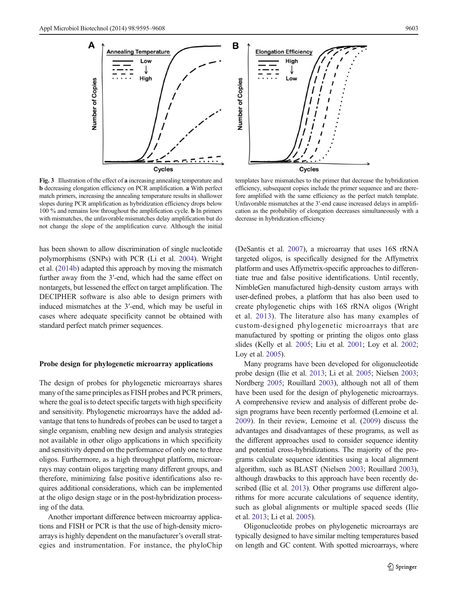<span id="page-8-0"></span>



Fig. 3 Illustration of the effect of a increasing annealing temperature and b decreasing elongation efficiency on PCR amplification. a With perfect match primers, increasing the annealing temperature results in shallower slopes during PCR amplification as hybridization efficiency drops below 100 % and remains low throughout the amplification cycle. b In primers with mismatches, the unfavorable mismatches delay amplification but do not change the slope of the amplification curve. Although the initial

templates have mismatches to the primer that decrease the hybridization efficiency, subsequent copies include the primer sequence and are therefore amplified with the same efficiency as the perfect match template. Unfavorable mismatches at the 3′-end cause increased delays in amplification as the probability of elongation decreases simultaneously with a decrease in hybridization efficiency

has been shown to allow discrimination of single nucleotide polymorphisms (SNPs) with PCR (Li et al. [2004](#page-11-0)). Wright et al. [\(2014b\)](#page-13-0) adapted this approach by moving the mismatch further away from the 3′-end, which had the same effect on nontargets, but lessened the effect on target amplification. The DECIPHER software is also able to design primers with induced mismatches at the 3′-end, which may be useful in cases where adequate specificity cannot be obtained with standard perfect match primer sequences.

# Probe design for phylogenetic microarray applications

The design of probes for phylogenetic microarrays shares many of the same principles as FISH probes and PCR primers, where the goal is to detect specific targets with high specificity and sensitivity. Phylogenetic microarrays have the added advantage that tens to hundreds of probes can be used to target a single organism, enabling new design and analysis strategies not available in other oligo applications in which specificity and sensitivity depend on the performance of only one to three oligos. Furthermore, as a high throughput platform, microarrays may contain oligos targeting many different groups, and therefore, minimizing false positive identifications also requires additional considerations, which can be implemented at the oligo design stage or in the post-hybridization processing of the data.

Another important difference between microarray applications and FISH or PCR is that the use of high-density microarrays is highly dependent on the manufacturer's overall strategies and instrumentation. For instance, the phyloChip (DeSantis et al. [2007](#page-10-0)), a microarray that uses 16S rRNA targeted oligos, is specifically designed for the Affymetrix platform and uses Affymetrix-specific approaches to differentiate true and false positive identifications. Until recently, NimbleGen manufactured high-density custom arrays with user-defined probes, a platform that has also been used to create phylogenetic chips with 16S rRNA oligos (Wright et al. [2013](#page-13-0)). The literature also has many examples of custom-designed phylogenetic microarrays that are manufactured by spotting or printing the oligos onto glass slides (Kelly et al. [2005](#page-11-0); Liu et al. [2001;](#page-11-0) Loy et al. [2002;](#page-11-0) Loy et al. [2005\)](#page-11-0).

Many programs have been developed for oligonucleotide probe design (Ilie et al. [2013](#page-11-0); Li et al. [2005;](#page-11-0) Nielsen [2003;](#page-12-0) Nordberg [2005](#page-12-0); Rouillard [2003](#page-12-0)), although not all of them have been used for the design of phylogenetic microarrays. A comprehensive review and analysis of different probe design programs have been recently performed (Lemoine et al. [2009](#page-11-0)). In their review, Lemoine et al. ([2009\)](#page-11-0) discuss the advantages and disadvantages of these programs, as well as the different approaches used to consider sequence identity and potential cross-hybridizations. The majority of the programs calculate sequence identities using a local alignment algorithm, such as BLAST (Nielsen [2003;](#page-12-0) Rouillard [2003\)](#page-12-0), although drawbacks to this approach have been recently described (Ilie et al. [2013](#page-11-0)). Other programs use different algorithms for more accurate calculations of sequence identity, such as global alignments or multiple spaced seeds (Ilie et al. [2013](#page-11-0); Li et al. [2005\)](#page-11-0).

Oligonucleotide probes on phylogenetic microarrays are typically designed to have similar melting temperatures based on length and GC content. With spotted microarrays, where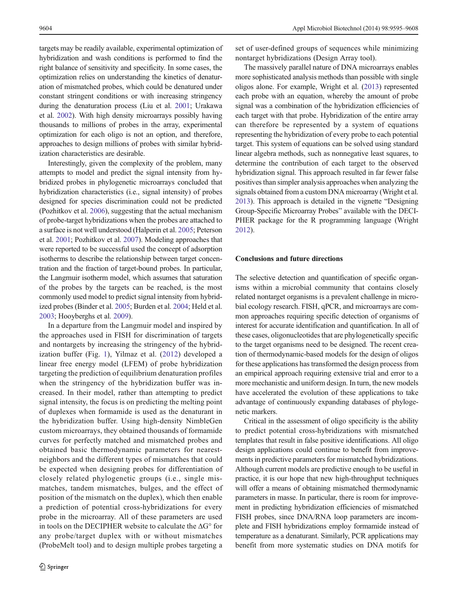targets may be readily available, experimental optimization of hybridization and wash conditions is performed to find the right balance of sensitivity and specificity. In some cases, the optimization relies on understanding the kinetics of denaturation of mismatched probes, which could be denatured under constant stringent conditions or with increasing stringency during the denaturation process (Liu et al. [2001](#page-11-0); Urakawa et al. [2002\)](#page-12-0). With high density microarrays possibly having thousands to millions of probes in the array, experimental optimization for each oligo is not an option, and therefore, approaches to design millions of probes with similar hybridization characteristics are desirable.

Interestingly, given the complexity of the problem, many attempts to model and predict the signal intensity from hybridized probes in phylogenetic microarrays concluded that hybridization characteristics (i.e., signal intensity) of probes designed for species discrimination could not be predicted (Pozhitkov et al. [2006\)](#page-12-0), suggesting that the actual mechanism of probe-target hybridizations when the probes are attached to a surface is not well understood (Halperin et al. [2005](#page-11-0); Peterson et al. [2001;](#page-12-0) Pozhitkov et al. [2007](#page-12-0)). Modeling approaches that were reported to be successful used the concept of adsorption isotherms to describe the relationship between target concentration and the fraction of target-bound probes. In particular, the Langmuir isotherm model, which assumes that saturation of the probes by the targets can be reached, is the most commonly used model to predict signal intensity from hybridized probes (Binder et al. [2005](#page-10-0); Burden et al. [2004;](#page-10-0) Held et al. [2003;](#page-11-0) Hooyberghs et al. [2009](#page-11-0)).

In a departure from the Langmuir model and inspired by the approaches used in FISH for discrimination of targets and nontargets by increasing the stringency of the hybridization buffer (Fig. [1\)](#page-1-0), Yilmaz et al. [\(2012\)](#page-13-0) developed a linear free energy model (LFEM) of probe hybridization targeting the prediction of equilibrium denaturation profiles when the stringency of the hybridization buffer was increased. In their model, rather than attempting to predict signal intensity, the focus is on predicting the melting point of duplexes when formamide is used as the denaturant in the hybridization buffer. Using high-density NimbleGen custom microarrays, they obtained thousands of formamide curves for perfectly matched and mismatched probes and obtained basic thermodynamic parameters for nearestneighbors and the different types of mismatches that could be expected when designing probes for differentiation of closely related phylogenetic groups (i.e., single mismatches, tandem mismatches, bulges, and the effect of position of the mismatch on the duplex), which then enable a prediction of potential cross-hybridizations for every probe in the microarray. All of these parameters are used in tools on the DECIPHER website to calculate the ΔG° for any probe/target duplex with or without mismatches (ProbeMelt tool) and to design multiple probes targeting a

set of user-defined groups of sequences while minimizing nontarget hybridizations (Design Array tool).

The massively parallel nature of DNA microarrays enables more sophisticated analysis methods than possible with single oligos alone. For example, Wright et al. [\(2013](#page-13-0)) represented each probe with an equation, whereby the amount of probe signal was a combination of the hybridization efficiencies of each target with that probe. Hybridization of the entire array can therefore be represented by a system of equations representing the hybridization of every probe to each potential target. This system of equations can be solved using standard linear algebra methods, such as nonnegative least squares, to determine the contribution of each target to the observed hybridization signal. This approach resulted in far fewer false positives than simpler analysis approaches when analyzing the signals obtained from a custom DNA microarray (Wright et al. [2013\)](#page-13-0). This approach is detailed in the vignette "Designing Group-Specific Microarray Probes" available with the DECI-PHER package for the R programming language (Wright [2012\)](#page-13-0).

# Conclusions and future directions

The selective detection and quantification of specific organisms within a microbial community that contains closely related nontarget organisms is a prevalent challenge in microbial ecology research. FISH, qPCR, and microarrays are common approaches requiring specific detection of organisms of interest for accurate identification and quantification. In all of these cases, oligonucleotides that are phylogenetically specific to the target organisms need to be designed. The recent creation of thermodynamic-based models for the design of oligos for these applications has transformed the design process from an empirical approach requiring extensive trial and error to a more mechanistic and uniform design. In turn, the new models have accelerated the evolution of these applications to take advantage of continuously expanding databases of phylogenetic markers.

Critical in the assessment of oligo specificity is the ability to predict potential cross-hybridizations with mismatched templates that result in false positive identifications. All oligo design applications could continue to benefit from improvements in predictive parameters for mismatched hybridizations. Although current models are predictive enough to be useful in practice, it is our hope that new high-throughput techniques will offer a means of obtaining mismatched thermodynamic parameters in masse. In particular, there is room for improvement in predicting hybridization efficiencies of mismatched FISH probes, since DNA/RNA loop parameters are incomplete and FISH hybridizations employ formamide instead of temperature as a denaturant. Similarly, PCR applications may benefit from more systematic studies on DNA motifs for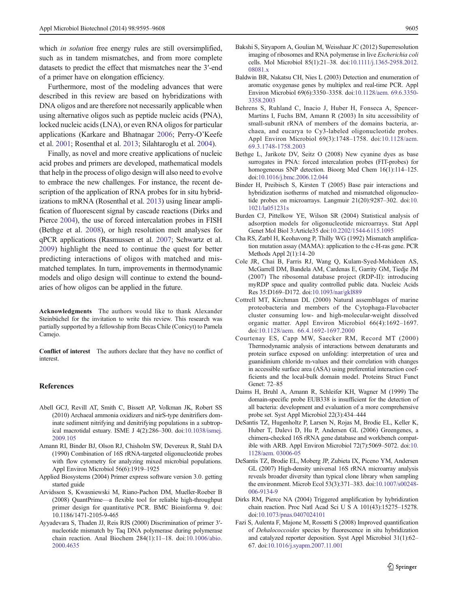<span id="page-10-0"></span>which *in solution* free energy rules are still oversimplified. such as in tandem mismatches, and from more complete datasets to predict the effect that mismatches near the 3′-end of a primer have on elongation efficiency.

Furthermore, most of the modeling advances that were described in this review are based on hybridizations with DNA oligos and are therefore not necessarily applicable when using alternative oligos such as peptide nucleic acids (PNA), locked nucleic acids (LNA), or even RNA oligos for particular applications (Karkare and Bhatnagar [2006](#page-11-0); Perry-O'Keefe et al. [2001](#page-12-0); Rosenthal et al. [2013;](#page-12-0) Silahtaroglu et al. [2004](#page-12-0)).

Finally, as novel and more creative applications of nucleic acid probes and primers are developed, mathematical models that help in the process of oligo design will also need to evolve to embrace the new challenges. For instance, the recent description of the application of RNA probes for in situ hybridizations to mRNA (Rosenthal et al. [2013](#page-12-0)) using linear amplification of fluorescent signal by cascade reactions (Dirks and Pierce 2004), the use of forced intercalation probes in FISH (Bethge et al. 2008), or high resolution melt analyses for qPCR applications (Rasmussen et al. [2007;](#page-12-0) Schwartz et al. [2009](#page-12-0)) highlight the need to continue the quest for better predicting interactions of oligos with matched and mismatched templates. In turn, improvements in thermodynamic models and oligo design will continue to extend the boundaries of how oligos can be applied in the future.

Acknowledgments The authors would like to thank Alexander Steinbüchel for the invitation to write this review. This research was partially supported by a fellowship from Becas Chile (Conicyt) to Pamela Camejo.

Conflict of interest The authors declare that they have no conflict of interest.

#### References

- Abell GCJ, Revill AT, Smith C, Bissett AP, Volkman JK, Robert SS (2010) Archaeal ammonia oxidizers and nirS-type denitrifiers dominate sediment nitrifying and denitrifying populations in a subtropical macrotidal estuary. ISME J 4(2):286–300. doi[:10.1038/ismej.](http://dx.doi.org/10.1038/ismej.2009.105) [2009.105](http://dx.doi.org/10.1038/ismej.2009.105)
- Amann RI, Binder BJ, Olson RJ, Chisholm SW, Devereux R, Stahl DA (1990) Combination of 16S rRNA-targeted oligonucleotide probes with flow cytometry for analyzing mixed microbial populations. Appl Environ Microbiol 56(6):1919–1925
- Applied Biosystems (2004) Primer express software version 3.0. getting started guide
- Arvidsson S, Kwasniewski M, Riano-Pachon DM, Mueller-Roeber B (2008) QuantPrime—a flexible tool for reliable high-throughput primer design for quantitative PCR. BMC Bioinforma 9. doi: 10.1186/1471-2105-9-465
- Ayyadevara S, Thaden JJ, Reis RJS (2000) Discrimination of primer 3′ nucleotide mismatch by Taq DNA polymerase during polymerase chain reaction. Anal Biochem 284(1):11–18. doi[:10.1006/abio.](http://dx.doi.org/10.1006/abio.2000.4635) [2000.4635](http://dx.doi.org/10.1006/abio.2000.4635)
- Bakshi S, Siryaporn A, Goulian M, Weisshaar JC (2012) Superresolution imaging of ribosomes and RNA polymerase in live Escherichia coli cells. Mol Microbiol 85(1):21–38. doi[:10.1111/j.1365-2958.2012.](http://dx.doi.org/10.1111/j.1365-2958.2012.08081.x) [08081.x](http://dx.doi.org/10.1111/j.1365-2958.2012.08081.x)
- Baldwin BR, Nakatsu CH, Nies L (2003) Detection and enumeration of aromatic oxygenase genes by multiplex and real-time PCR. Appl Environ Microbiol 69(6):3350–3358. doi:[10.1128/aem. 69.6.3350-](http://dx.doi.org/10.1128/aem.%2069.6.3350-3358.2003) [3358.2003](http://dx.doi.org/10.1128/aem.%2069.6.3350-3358.2003)
- Behrens S, Ruhland C, Inacio J, Huber H, Fonseca A, Spencer-Martins I, Fuchs BM, Amann R (2003) In situ accessibility of small-subunit rRNA of members of the domains bacteria, archaea, and eucarya to Cy3-labeled oligonucleotide probes. Appl Environ Microbiol 69(3):1748–1758. doi:[10.1128/aem.](http://dx.doi.org/10.1128/aem.%2069.3.1748-1758.2003) [69.3.1748-1758.2003](http://dx.doi.org/10.1128/aem.%2069.3.1748-1758.2003)
- Bethge L, Jarikote DV, Seitz O (2008) New cyanine dyes as base surrogates in PNA: forced intercalation probes (FIT-probes) for homogeneous SNP detection. Bioorg Med Chem 16(1):114–125. doi:[10.1016/j.bmc.2006.12.044](http://dx.doi.org/10.1016/j.bmc.2006.12.044)
- Binder H, Preibisch S, Kirsten T (2005) Base pair interactions and hybridization isotherms of matched and mismatched oligonucleotide probes on microarrays. Langmuir 21(20):9287–302. doi:[10.](http://dx.doi.org/10.1021/la051231s) [1021/la051231s](http://dx.doi.org/10.1021/la051231s)
- Burden CJ, Pittelkow YE, Wilson SR (2004) Statistical analysis of adsorption models for oligonucleotide microarrays. Stat Appl Genet Mol Biol 3:Article35 doi[:10.2202/1544-6115.1095](http://dx.doi.org/10.2202/1544-6115.1095)
- Cha RS, Zarbl H, Keohavong P, Thilly WG (1992) Mismatch amplification mutation assay (MAMA): application to the c-H-ras gene. PCR Methods Appl 2(1):14–20
- Cole JR, Chai B, Farris RJ, Wang Q, Kulam-Syed-Mohideen AS, McGarrell DM, Bandela AM, Cardenas E, Garrity GM, Tiedje JM (2007) The ribosomal database project (RDP-II): introducing myRDP space and quality controlled public data. Nucleic Acids Res 35:D169–D172. doi[:10.1093/nar/gkl889](http://dx.doi.org/10.1093/nar/gkl889)
- Cottrell MT, Kirchman DL (2000) Natural assemblages of marine proteobacteria and members of the Cytophaga-Flavobacter cluster consuming low- and high-molecular-weight dissolved organic matter. Appl Environ Microbiol 66(4):1692–1697. doi:[10.1128/aem. 66.4.1692-1697.2000](http://dx.doi.org/10.1128/aem.%2066.4.1692-1697.2000)
- Courtenay ES, Capp MW, Saecker RM, Record MT (2000) Thermodynamic analysis of interactions between denaturants and protein surface exposed on unfolding: interpretation of urea and guanidinium chloride m-values and their correlation with changes in accessible surface area (ASA) using preferential interaction coefficients and the local-bulk domain model. Proteins Struct Funct Genet: 72–85
- Daims H, Bruhl A, Amann R, Schleifer KH, Wagner M (1999) The domain-specific probe EUB338 is insufficient for the detection of all bacteria: development and evaluation of a more comprehensive probe set. Syst Appl Microbiol 22(3):434–444
- DeSantis TZ, Hugenholtz P, Larsen N, Rojas M, Brodie EL, Keller K, Huber T, Dalevi D, Hu P, Andersen GL (2006) Greengenes, a chimera-checked 16S rRNA gene database and workbench compatible with ARB. Appl Environ Microbiol 72(7):5069–5072. doi[:10.](http://dx.doi.org/10.1128/aem.%2003006-05) [1128/aem. 03006-05](http://dx.doi.org/10.1128/aem.%2003006-05)
- DeSantis TZ, Brodie EL, Moberg JP, Zubieta IX, Piceno YM, Andersen GL (2007) High-density universal 16S rRNA microarray analysis reveals broader diversity than typical clone library when sampling the environment. Microb Ecol 53(3):371–383. doi:[10.1007/s00248-](http://dx.doi.org/10.1007/s00248-006-9134-9) [006-9134-9](http://dx.doi.org/10.1007/s00248-006-9134-9)
- Dirks RM, Pierce NA (2004) Triggered amplification by hybridization chain reaction. Proc Natl Acad Sci U S A 101(43):15275–15278. doi:[10.1073/pnas.0407024101](http://dx.doi.org/10.1073/pnas.0407024101)
- Fazi S, Aulenta F, Majone M, Rossetti S (2008) Improved quantification of Dehalococcoides species by fluorescence in situ hybridization and catalyzed reporter deposition. Syst Appl Microbiol 31(1):62– 67. doi[:10.1016/j.syapm.2007.11.001](http://dx.doi.org/10.1016/j.syapm.2007.11.001)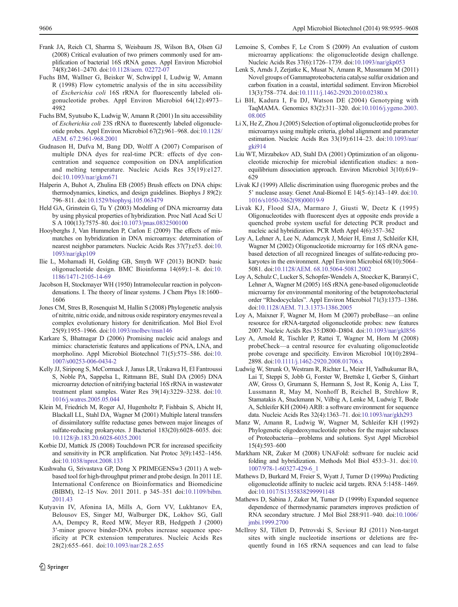- <span id="page-11-0"></span>Frank JA, Reich CI, Sharma S, Weisbaum JS, Wilson BA, Olsen GJ (2008) Critical evaluation of two primers commonly used for amplification of bacterial 16S rRNA genes. Appl Environ Microbiol 74(8):2461–2470. doi[:10.1128/aem. 02272-07](http://dx.doi.org/10.1128/aem.%2002272-07)
- Fuchs BM, Wallner G, Beisker W, Schwippl I, Ludwig W, Amann R (1998) Flow cytometric analysis of the in situ accessibility of Escherichia coli 16S rRNA for fluorescently labeled oligonucleotide probes. Appl Environ Microbiol 64(12):4973– 4982
- Fuchs BM, Syutsubo K, Ludwig W, Amann R (2001) In situ accessibility of Escherichia coli 23S rRNA to fluorescently labeled oligonucleotide probes. Appl Environ Microbiol 67(2):961–968. doi[:10.1128/](http://dx.doi.org/10.1128/AEM.%2067.2.961-968.2001) [AEM. 67.2.961-968.2001](http://dx.doi.org/10.1128/AEM.%2067.2.961-968.2001)
- Gudnason H, Dufva M, Bang DD, Wolff A (2007) Comparison of multiple DNA dyes for real-time PCR: effects of dye concentration and sequence composition on DNA amplification and melting temperature. Nucleic Acids Res 35(19):e127. doi[:10.1093/nar/gkm671](http://dx.doi.org/10.1093/nar/gkm671)
- Halperin A, Buhot A, Zhulina EB (2005) Brush effects on DNA chips: thermodynamics, kinetics, and design guidelines. Biophys J 89(2): 796–811. doi:[10.1529/biophysj.105.063479](http://dx.doi.org/10.1529/biophysj.105.063479)
- Held GA, Grinstein G, Tu Y (2003) Modeling of DNA microarray data by using physical properties of hybridization. Proc Natl Acad Sci U S A 100(13):7575–80. doi[:10.1073/pnas.0832500100](http://dx.doi.org/10.1073/pnas.0832500100)
- Hooyberghs J, Van Hummelen P, Carlon E (2009) The effects of mismatches on hybridization in DNA microarrays: determination of nearest neighbor parameters. Nucleic Acids Res 37(7):e53. doi:[10.](http://dx.doi.org/10.1093/nar/gkp109) [1093/nar/gkp109](http://dx.doi.org/10.1093/nar/gkp109)
- Ilie L, Mohamadi H, Golding GB, Smyth WF (2013) BOND: basic oligonucleotide design. BMC Bioinforma 14(69):1–8. doi[:10.](http://dx.doi.org/10.1186/1471-2105-14-69) [1186/1471-2105-14-69](http://dx.doi.org/10.1186/1471-2105-14-69)
- Jacobson H, Stockmayer WH (1950) Intramolecular reaction in polycondensations. I. The theory of linear systems. J Chem Phys 18:1600– 1606
- Jones CM, Stres B, Rosenquist M, Hallin S (2008) Phylogenetic analysis of nitrite, nitric oxide, and nitrous oxide respiratory enzymes reveal a complex evolutionary history for denitrification. Mol Biol Evol 25(9):1955–1966. doi[:10.1093/molbev/msn146](http://dx.doi.org/10.1093/molbev/msn146)
- Karkare S, Bhatnagar D (2006) Promising nucleic acid analogs and mimics: characteristic features and applications of PNA, LNA, and morpholino. Appl Microbiol Biotechnol 71(5):575–586. doi:[10.](http://dx.doi.org/10.1007/s00253-006-0434-2) [1007/s00253-006-0434-2](http://dx.doi.org/10.1007/s00253-006-0434-2)
- Kelly JJ, Siripong S, McCormack J, Janus LR, Urakawa H, El Fantroussi S, Noble PA, Sappelsa L, Rittmann BE, Stahl DA (2005) DNA microarray detection of nitrifying bacterial 16S rRNA in wastewater treatment plant samples. Water Res 39(14):3229–3238. doi:[10.](http://dx.doi.org/10.1016/j.watres.2005.05.044) [1016/j.watres.2005.05.044](http://dx.doi.org/10.1016/j.watres.2005.05.044)
- Klein M, Friedrich M, Roger AJ, Hugenholtz P, Fishbain S, Abicht H, Blackall LL, Stahl DA, Wagner M (2001) Multiple lateral transfers of dissimilatory sulfite reductase genes between major lineages of sulfate-reducing prokaryotes. J Bacteriol 183(20):6028–6035. doi: [10.1128/jb.183.20.6028-6035.2001](http://dx.doi.org/10.1128/jb.183.20.6028-6035.2001)
- Korbie DJ, Mattick JS (2008) Touchdown PCR for increased specificity and sensitivity in PCR amplification. Nat Protoc 3(9):1452–1456. doi:[10.1038/nprot.2008.133](http://dx.doi.org/10.1038/nprot.2008.133)
- Kushwaha G, Srivastava GP, Dong X PRIMEGENSw3 (2011) A webbased tool for high-throughput primer and probe design. In 2011 I.E. International Conference on Bioinformatics and Biomedicine (BIBM), 12–15 Nov. 2011 2011. p 345–351 doi:[10.1109/bibm.](http://dx.doi.org/10.1109/bibm.2011.43) [2011.43](http://dx.doi.org/10.1109/bibm.2011.43)
- Kutyavin IV, Afonina IA, Mills A, Gorn VV, Lukhtanov EA, Belousov ES, Singer MJ, Walburger DK, Lokhov SG, Gall AA, Dempcy R, Reed MW, Meyer RB, Hedgpeth J (2000) 3′-minor groove binder-DNA probes increase sequence specificity at PCR extension temperatures. Nucleic Acids Res 28(2):655–661. doi:[10.1093/nar/28.2.655](http://dx.doi.org/10.1093/nar/28.2.655)
- Lemoine S, Combes F, Le Crom S (2009) An evaluation of custom microarray applications: the oligonucleotide design challenge. Nucleic Acids Res 37(6):1726–1739. doi:[10.1093/nar/gkp053](http://dx.doi.org/10.1093/nar/gkp053)
- Lenk S, Arnds J, Zerjatke K, Musat N, Amann R, Mussmann M (2011) Novel groups of Gammaproteobacteria catalyse sulfur oxidation and carbon fixation in a coastal, intertidal sediment. Environ Microbiol 13(3):758–774. doi:[10.1111/j.1462-2920.2010.02380.x](http://dx.doi.org/10.1111/j.1462-2920.2010.02380.x)
- Li BH, Kadura I, Fu DJ, Watson DE (2004) Genotyping with TaqMAMA. Genomics 83(2):311–320. doi[:10.1016/j.ygeno.2003.](http://dx.doi.org/10.1016/j.ygeno.2003.08.005) [08.005](http://dx.doi.org/10.1016/j.ygeno.2003.08.005)
- Li X, He Z, Zhou J (2005) Selection of optimal oligonucleotide probes for microarrays using multiple criteria, global alignment and parameter estimation. Nucleic Acids Res 33(19):6114–23. doi[:10.1093/nar/](http://dx.doi.org/10.1093/nar/gki914) [gki914](http://dx.doi.org/10.1093/nar/gki914)
- Liu WT, Mirzabekov AD, Stahl DA (2001) Optimization of an oligonucleotide microchip for microbial identification studies: a nonequilibrium dissociation approach. Environ Microbiol 3(10):619– 629
- Livak KJ (1999) Allelic discrimination using fluorogenic probes and the 5' nuclease assay. Genet Anal-Biomol E 14(5–6):143–149. doi[:10.](http://dx.doi.org/10.1016/s1050-3862(98)00019-9) [1016/s1050-3862\(98\)00019-9](http://dx.doi.org/10.1016/s1050-3862(98)00019-9)
- Livak KJ, Flood SJA, Marmaro J, Giusti W, Deetz K (1995) Oligonucleotides with fluorescent dyes at opposite ends provide a quenched probe system useful for detecting PCR product and nucleic acid hybridization. PCR Meth Appl 4(6):357–362
- Loy A, Lehner A, Lee N, Adamczyk J, Meier H, Ernst J, Schleifer KH, Wagner M (2002) Oligonucleotide microarray for 16S rRNA genebased detection of all recognized lineages of sulfate-reducing prokaryotes in the environment. Appl Environ Microbiol 68(10):5064– 5081. doi:[10.1128/AEM. 68.10.5064-5081.2002](http://dx.doi.org/10.1128/AEM.%2068.10.5064-5081.2002)
- Loy A, Schulz C, Lucker S, Schopfer-Wendels A, Stoecker K, Baranyi C, Lehner A, Wagner M (2005) 16S rRNA gene-based oligonucleotide microarray for environmental monitoring of the betaproteobacterial order "Rhodocyclales". Appl Environ Microbiol 71(3):1373–1386. doi:[10.1128/AEM. 71.3.1373-1386.2005](http://dx.doi.org/10.1128/AEM.%2071.3.1373-1386.2005)
- Loy A, Maixner F, Wagner M, Horn M (2007) probeBase—an online resource for rRNA-targeted oligonucleotide probes: new features 2007. Nucleic Acids Res 35:D800–D804. doi[:10.1093/nar/gkl856](http://dx.doi.org/10.1093/nar/gkl856)
- Loy A, Arnold R, Tischler P, Rattei T, Wagner M, Horn M (2008) probeCheck—a central resource for evaluating oligonucleotide probe coverage and specificity. Environ Microbiol 10(10):2894– 2898. doi:[10.1111/j.1462-2920.2008.01706.x](http://dx.doi.org/10.1111/j.1462-2920.2008.01706.x)
- Ludwig W, Strunk O, Westram R, Richter L, Meier H, Yadhukumar BA, Lai T, Steppi S, Jobb G, Forster W, Brettske I, Gerber S, Ginhart AW, Gross O, Grumann S, Hermann S, Jost R, Konig A, Liss T, Lussmann R, May M, Nonhoff B, Reichel B, Strehlow R, Stamatakis A, Stuckmann N, Vilbig A, Lenke M, Ludwig T, Bode A, Schleifer KH (2004) ARB: a software environment for sequence data. Nucleic Acids Res 32(4):1363–71. doi[:10.1093/nar/gkh293](http://dx.doi.org/10.1093/nar/gkh293)
- Manz W, Amann R, Ludwig W, Wagner M, Schleifer KH (1992) Phylogenetic oligodeoxynucleotide probes for the major subclasses of Proteobacteria—problems and solutions. Syst Appl Microbiol 15(4):593–600
- Markham NR, Zuker M (2008) UNAFold: software for nucleic acid folding and hybridization. Methods Mol Biol 453:3–31. doi:[10.](http://dx.doi.org/10.1007/978-1-60327-429-6_1) [1007/978-1-60327-429-6\\_1](http://dx.doi.org/10.1007/978-1-60327-429-6_1)
- Mathews D, Burkard M, Freier S, Wyatt J, Turner D (1999a) Predicting oligonucleotide affinity to nucleic acid targets. RNA 5:1458–1469. doi:[10.1017/S1355838299991148](http://dx.doi.org/10.1017/S1355838299991148)
- Mathews D, Sabina J, Zuker M, Turner D (1999b) Expanded sequence dependence of thermodynamic parameters improves prediction of RNA secondary structure. J Mol Biol 288:911–940. doi[:10.1006/](http://dx.doi.org/10.1006/jmbi.1999.2700) [jmbi.1999.2700](http://dx.doi.org/10.1006/jmbi.1999.2700)
- McIlroy SJ, Tillett D, Petrovski S, Seviour RJ (2011) Non-target sites with single nucleotide insertions or deletions are frequently found in 16S rRNA sequences and can lead to false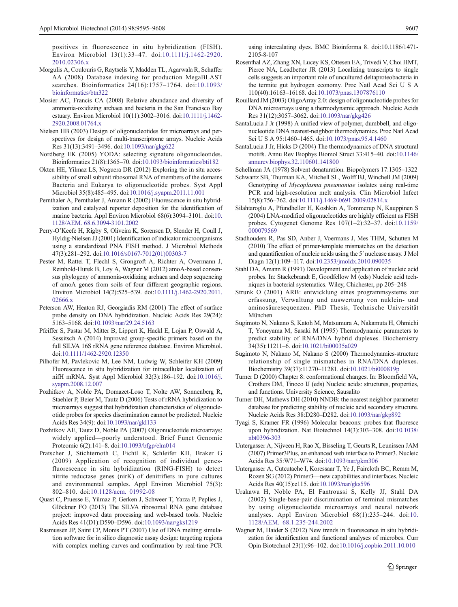<span id="page-12-0"></span>positives in fluorescence in situ hybridization (FISH). Environ Microbiol 13(1):33–47. doi:[10.1111/j.1462-2920.](http://dx.doi.org/10.1111/j.1462-2920.2010.02306.x) [2010.02306.x](http://dx.doi.org/10.1111/j.1462-2920.2010.02306.x)

- Morgulis A, Coulouris G, Raytselis Y, Madden TL, Agarwala R, Schaffer AA (2008) Database indexing for production MegaBLAST searches. Bioinformatics 24(16):1757–1764. doi[:10.1093/](http://dx.doi.org/10.1093/bioinformatics/btn322) [bioinformatics/btn322](http://dx.doi.org/10.1093/bioinformatics/btn322)
- Mosier AC, Francis CA (2008) Relative abundance and diversity of ammonia-oxidizing archaea and bacteria in the San Francisco Bay estuary. Environ Microbiol 10(11):3002–3016. doi[:10.1111/j.1462-](http://dx.doi.org/10.1111/j.1462-2920.2008.01764.x) [2920.2008.01764.x](http://dx.doi.org/10.1111/j.1462-2920.2008.01764.x)
- Nielsen HB (2003) Design of oligonucleotides for microarrays and perspectives for design of multi-transcriptome arrays. Nucleic Acids Res 31(13):3491–3496. doi:[10.1093/nar/gkg622](http://dx.doi.org/10.1093/nar/gkg622)
- Nordberg EK (2005) YODA: selecting signature oligonucleotides. Bioinformatics 21(8):1365–70. doi[:10.1093/bioinformatics/bti182](http://dx.doi.org/10.1093/bioinformatics/bti182)
- Okten HE, Yilmaz LS, Noguera DR (2012) Exploring the in situ accessibility of small subunit ribosomal RNA of members of the domains Bacteria and Eukarya to oligonucleotide probes. Syst Appl Microbiol 35(8):485–495. doi:[10.1016/j.syapm.2011.11.001](http://dx.doi.org/10.1016/j.syapm.2011.11.001)
- Pernthaler A, Pernthaler J, Amann R (2002) Fluorescence in situ hybridization and catalyzed reporter deposition for the identification of marine bacteria. Appl Environ Microbiol 68(6):3094–3101. doi:[10.](http://dx.doi.org/10.1128/AEM.%2068.6.3094-3101.2002) [1128/AEM. 68.6.3094-3101.2002](http://dx.doi.org/10.1128/AEM.%2068.6.3094-3101.2002)
- Perry-O'Keefe H, Rigby S, Oliveira K, Sorensen D, Slender H, Coull J, Hyldig-Nielsen JJ (2001) Identification of indicator microorganisms using a standardized PNA FISH method. J Microbiol Methods 47(3):281–292. doi:[10.1016/s0167-7012\(01\)00303-7](http://dx.doi.org/10.1016/s0167-7012(01)00303-7)
- Pester M, Rattei T, Flechl S, Grongroft A, Richter A, Overmann J, Reinhold-Hurek B, Loy A, Wagner M (2012) amoA-based consensus phylogeny of ammonia-oxidizing archaea and deep sequencing of amoA genes from soils of four different geographic regions. Environ Microbiol 14(2):525–539. doi:[10.1111/j.1462-2920.2011.](http://dx.doi.org/10.1111/j.1462-2920.2011.02666.x) 02666 x
- Peterson AW, Heaton RJ, Georgiadis RM (2001) The effect of surface probe density on DNA hybridization. Nucleic Acids Res 29(24): 5163–5168. doi[:10.1093/nar/29.24.5163](http://dx.doi.org/10.1093/nar/29.24.5163)
- Pfeiffer S, Pastar M, Mitter B, Lippert K, Hackl E, Lojan P, Oswald A, Sessitsch A (2014) Improved group-specific primers based on the full SILVA 16S rRNA gene reference database. Environ Microbiol. doi:[10.1111/1462-2920.12350](http://dx.doi.org/10.1111/1462-2920.12350)
- Pilhofer M, Pavlekovic M, Lee NM, Ludwig W, Schleifer KH (2009) Fluorescence in situ hybridization for intracellular localization of nifH mRNA. Syst Appl Microbiol 32(3):186–192. doi:[10.1016/j.](http://dx.doi.org/10.1016/j.syapm.2008.12.007) [syapm.2008.12.007](http://dx.doi.org/10.1016/j.syapm.2008.12.007)
- Pozhitkov A, Noble PA, Domazet-Loso T, Nolte AW, Sonnenberg R, Staehler P, Beier M, Tautz D (2006) Tests of rRNA hybridization to microarrays suggest that hybridization characteristics of oligonucleotide probes for species discrimination cannot be predicted. Nucleic Acids Res 34(9): doi:[10.1093/nar/gkl133](http://dx.doi.org/10.1093/nar/gkl133)
- Pozhitkov AE, Tautz D, Noble PA (2007) Oligonucleotide microarrays: widely applied—poorly understood. Brief Funct Genomic Proteomic 6(2):141–8. doi[:10.1093/bfgp/elm014](http://dx.doi.org/10.1093/bfgp/elm014)
- Pratscher J, Stichternoth C, Fichtl K, Schleifer KH, Braker G (2009) Application of recognition of individual genesfluorescence in situ hybridization (RING-FISH) to detect nitrite reductase genes (nirK) of denitrifiers in pure cultures and environmental samples. Appl Environ Microbiol 75(3): 802–810. doi:[10.1128/aem. 01992-08](http://dx.doi.org/10.1128/aem.%2001992-08)
- Quast C, Pruesse E, Yilmaz P, Gerken J, Schweer T, Yarza P, Peplies J, Glöckner FO (2013) The SILVA ribosomal RNA gene database project: improved data processing and web-based tools. Nucleic Acids Res 41(D1):D590–D596. doi:[10.1093/nar/gks1219](http://dx.doi.org/10.1093/nar/gks1219)
- Rasmussen JP, Saint CP, Monis PT (2007) Use of DNA melting simulation software for in silico diagnostic assay design: targeting regions with complex melting curves and confirmation by real-time PCR

using intercalating dyes. BMC Bioinforma 8. doi:10.1186/1471- 2105-8-107

- Rosenthal AZ, Zhang XN, Lucey KS, Ottesen EA, Trivedi V, Choi HMT, Pierce NA, Leadbetter JR (2013) Localizing transcripts to single cells suggests an important role of uncultured deltaproteobacteria in the termite gut hydrogen economy. Proc Natl Acad Sci U S A 110(40):16163–16168. doi[:10.1073/pnas.1307876110](http://dx.doi.org/10.1073/pnas.1307876110)
- Rouillard JM (2003) OligoArray 2.0: design of oligonucleotide probes for DNA microarrays using a thermodynamic approach. Nucleic Acids Res 31(12):3057–3062. doi[:10.1093/nar/gkg426](http://dx.doi.org/10.1093/nar/gkg426)
- SantaLucia J Jr (1998) A unified view of polymer, dumbbell, and oligonucleotide DNA nearest-neighbor thermodynamics. Proc Natl Acad Sci U S A 95:1460–1465. doi:[10.1073/pnas.95.4.1460](http://dx.doi.org/10.1073/pnas.95.4.1460)
- SantaLucia J Jr, Hicks D (2004) The thermodynamics of DNA structural motifs. Annu Rev Biophys Biomol Struct 33:415–40. doi[:10.1146/](http://dx.doi.org/10.1146/annurev.biophys.32.110601.141800) [annurev.biophys.32.110601.141800](http://dx.doi.org/10.1146/annurev.biophys.32.110601.141800)

Schellman JA (1978) Solvent denaturation. Biopolymers 17:1305–1322

- Schwartz SB, Thurman KA, Mitchell SL, Wolff BJ, Winchell JM (2009) Genotyping of Mycoplasma pneumoniae isolates using real-time PCR and high-resolution melt analysis. Clin Microbiol Infect 15(8):756–762. doi:[10.1111/j.1469-0691.2009.02814.x](http://dx.doi.org/10.1111/j.1469-0691.2009.02814.x)
- Silahtaroglu A, Pfundheller H, Koshkin A, Tommerup N, Kauppinen S (2004) LNA-modified oligonucleotides are highly efficient as FISH probes. Cytogenet Genome Res 107(1–2):32–37. doi[:10.1159/](http://dx.doi.org/10.1159/000079569) [000079569](http://dx.doi.org/10.1159/000079569)
- Stadhouders R, Pas SD, Anber J, Voermans J, Mes THM, Schutten M (2010) The effect of primer-template mismatches on the detection and quantification of nucleic acids using the 5′ nuclease assay. J Mol Diagn 12(1):109–117. doi[:10.2353/jmoldx.2010.090035](http://dx.doi.org/10.2353/jmoldx.2010.090035)
- Stahl DA, Amann R (1991) Development and application of nucleic acid probes. In: Stackebrandt E, Goodfellow M (eds) Nucleic acid techniques in bacterial systematics. Wiley, Chichester, pp 205–248
- Strunk O (2001) ARB: entwicklung eines programmsystems zur erfassung, Verwaltung und auswertung von nuklein- und aminosäuresequenzen. PhD Thesis, Technische Universität München
- Sugimoto N, Nakano S, Katoh M, Matsumura A, Nakamuta H, Ohmichi T, Yoneyama M, Sasaki M (1995) Thermodynamic parameters to predict stability of RNA/DNA hybrid duplexes. Biochemistry 34(35):11211–6. doi[:10.1021/bi00035a029](http://dx.doi.org/10.1021/bi00035a029)
- Sugimoto N, Nakano M, Nakano S (2000) Thermodynamics-structure relationship of single mismatches in RNA/DNA duplexes. Biochemistry 39(37):11270–11281. doi[:10.1021/bi000819p](http://dx.doi.org/10.1021/bi000819p)
- Turner D (2000) Chapter 8: conformational changes. In: Bloomfield VA, Crothers DM, Tinoco IJ (eds) Nucleic acids: structures, properties, and functions. University Science, Sausalito
- Turner DH, Mathews DH (2010) NNDB: the nearest neighbor parameter database for predicting stability of nucleic acid secondary structure. Nucleic Acids Res 38:D280–D282. doi[:10.1093/nar/gkp892](http://dx.doi.org/10.1093/nar/gkp892)
- Tyagi S, Kramer FR (1996) Molecular beacons: probes that fluoresce upon hybridization. Nat Biotechnol 14(3):303–308. doi[:10.1038/](http://dx.doi.org/10.1038/nbt0396-303) [nbt0396-303](http://dx.doi.org/10.1038/nbt0396-303)
- Untergasser A, Nijveen H, Rao X, Bisseling T, Geurts R, Leunissen JAM (2007) Primer3Plus, an enhanced web interface to Primer3. Nucleic Acids Res 35:W71–W74. doi[:10.1093/nar/gkm306](http://dx.doi.org/10.1093/nar/gkm306)
- Untergasser A, Cutcutache I, Koressaar T, Ye J, Faircloth BC, Remm M, Rozen SG (2012) Primer3—new capabilities and interfaces. Nucleic Acids Res 40(15):e115. doi:[10.1093/nar/gks596](http://dx.doi.org/10.1093/nar/gks596)
- Urakawa H, Noble PA, El Fantroussi S, Kelly JJ, Stahl DA (2002) Single-base-pair discrimination of terminal mismatches by using oligonucleotide microarrays and neural network analyses. Appl Environ Microbiol 68(1):235–244. doi:[10.](http://dx.doi.org/10.1128/AEM.%2068.1.235-244.2002) [1128/AEM. 68.1.235-244.2002](http://dx.doi.org/10.1128/AEM.%2068.1.235-244.2002)
- Wagner M, Haider S (2012) New trends in fluorescence in situ hybridization for identification and functional analyses of microbes. Curr Opin Biotechnol 23(1):96–102. doi:[10.1016/j.copbio.2011.10.010](http://dx.doi.org/10.1016/j.copbio.2011.10.010)